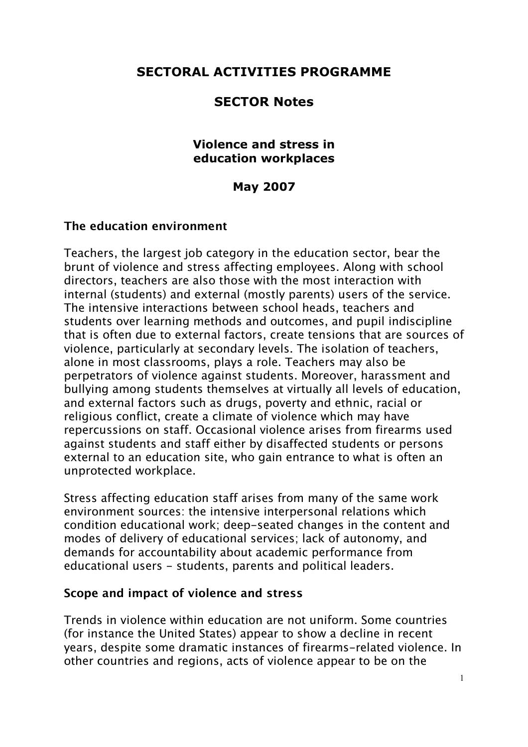# **SECTORAL ACTIVITIES PROGRAMME**

## **SECTOR Notes**

#### **Violence and stress in education workplaces**

### **May 2007**

#### **The education environment**

Teachers, the largest job category in the education sector, bear the brunt of violence and stress affecting employees. Along with school directors, teachers are also those with the most interaction with internal (students) and external (mostly parents) users of the service. The intensive interactions between school heads, teachers and students over learning methods and outcomes, and pupil indiscipline that is often due to external factors, create tensions that are sources of violence, particularly at secondary levels. The isolation of teachers, alone in most classrooms, plays a role. Teachers may also be perpetrators of violence against students. Moreover, harassment and bullying among students themselves at virtually all levels of education, and external factors such as drugs, poverty and ethnic, racial or religious conflict, create a climate of violence which may have repercussions on staff. Occasional violence arises from firearms used against students and staff either by disaffected students or persons external to an education site, who gain entrance to what is often an unprotected workplace.

Stress affecting education staff arises from many of the same work environment sources: the intensive interpersonal relations which condition educational work; deep-seated changes in the content and modes of delivery of educational services; lack of autonomy, and demands for accountability about academic performance from educational users - students, parents and political leaders.

#### **Scope and impact of violence and stress**

Trends in violence within education are not uniform. Some countries (for instance the United States) appear to show a decline in recent years, despite some dramatic instances of firearms-related violence. In other countries and regions, acts of violence appear to be on the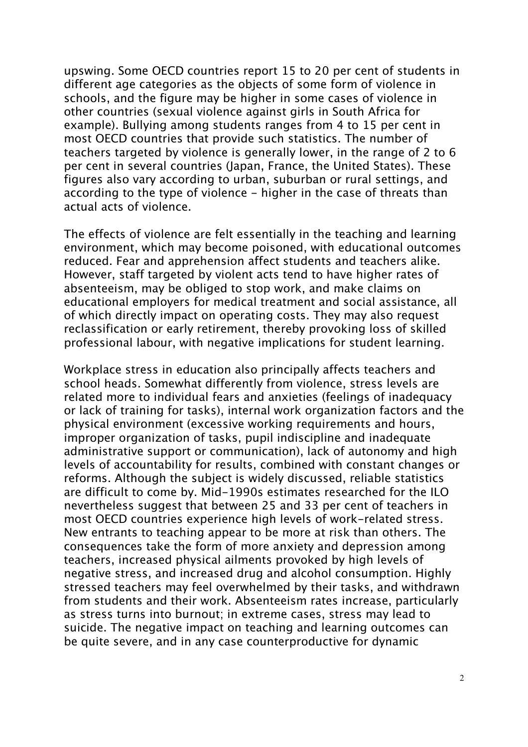upswing. Some OECD countries report 15 to 20 per cent of students in different age categories as the objects of some form of violence in schools, and the figure may be higher in some cases of violence in other countries (sexual violence against girls in South Africa for example). Bullying among students ranges from 4 to 15 per cent in most OECD countries that provide such statistics. The number of teachers targeted by violence is generally lower, in the range of 2 to 6 per cent in several countries (Japan, France, the United States). These figures also vary according to urban, suburban or rural settings, and according to the type of violence - higher in the case of threats than actual acts of violence.

The effects of violence are felt essentially in the teaching and learning environment, which may become poisoned, with educational outcomes reduced. Fear and apprehension affect students and teachers alike. However, staff targeted by violent acts tend to have higher rates of absenteeism, may be obliged to stop work, and make claims on educational employers for medical treatment and social assistance, all of which directly impact on operating costs. They may also request reclassification or early retirement, thereby provoking loss of skilled professional labour, with negative implications for student learning.

Workplace stress in education also principally affects teachers and school heads. Somewhat differently from violence, stress levels are related more to individual fears and anxieties (feelings of inadequacy or lack of training for tasks), internal work organization factors and the physical environment (excessive working requirements and hours, improper organization of tasks, pupil indiscipline and inadequate administrative support or communication), lack of autonomy and high levels of accountability for results, combined with constant changes or reforms. Although the subject is widely discussed, reliable statistics are difficult to come by. Mid-1990s estimates researched for the ILO nevertheless suggest that between 25 and 33 per cent of teachers in most OECD countries experience high levels of work-related stress. New entrants to teaching appear to be more at risk than others. The consequences take the form of more anxiety and depression among teachers, increased physical ailments provoked by high levels of negative stress, and increased drug and alcohol consumption. Highly stressed teachers may feel overwhelmed by their tasks, and withdrawn from students and their work. Absenteeism rates increase, particularly as stress turns into burnout; in extreme cases, stress may lead to suicide. The negative impact on teaching and learning outcomes can be quite severe, and in any case counterproductive for dynamic